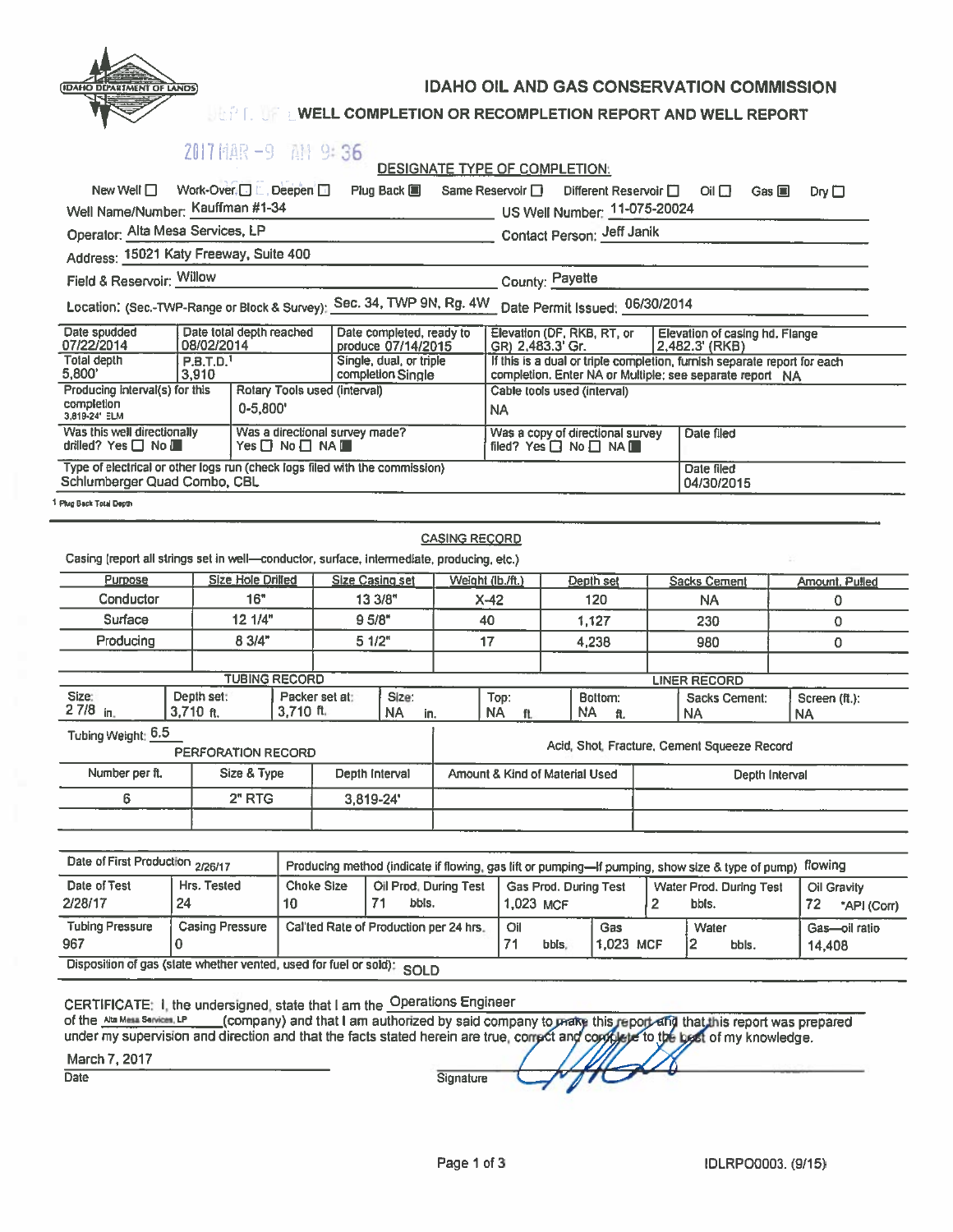

IDAHO OIL AND GAS CONSERVATION COMMISSION

## WELL COMPLETION OR RECOMPLETION REPORT AND WELL REPORT

|                                                                                                             | 2017 MAR -9 AM 9:36                                            |                                                              |                 |                                                |                                              | DESIGNATE TYPE OF COMPLETION:                                                                    |                                                                                                                                      |                                |                                                  |                                  |                                             |                                         |                |  |
|-------------------------------------------------------------------------------------------------------------|----------------------------------------------------------------|--------------------------------------------------------------|-----------------|------------------------------------------------|----------------------------------------------|--------------------------------------------------------------------------------------------------|--------------------------------------------------------------------------------------------------------------------------------------|--------------------------------|--------------------------------------------------|----------------------------------|---------------------------------------------|-----------------------------------------|----------------|--|
| New Well $\Box$                                                                                             | Work-Over □ L. Deepen □                                        |                                                              |                 |                                                | Plug Back <b>国</b>                           | Same Reservoir □                                                                                 |                                                                                                                                      |                                | Different Reservoir □                            |                                  | $O   \Box$<br>Gas $\blacksquare$            |                                         | $Dry \Box$     |  |
| Well Name/Number: Kauffman #1-34                                                                            |                                                                |                                                              |                 |                                                |                                              |                                                                                                  |                                                                                                                                      | US Well Number: 11-075-20024   |                                                  |                                  |                                             |                                         |                |  |
| Operator: Alta Mesa Services, LP                                                                            |                                                                |                                                              |                 |                                                |                                              |                                                                                                  |                                                                                                                                      | Contact Person: Jeff Janik     |                                                  |                                  |                                             |                                         |                |  |
| Address: 15021 Katy Freeway, Suite 400                                                                      |                                                                |                                                              |                 |                                                |                                              |                                                                                                  |                                                                                                                                      |                                |                                                  |                                  |                                             |                                         |                |  |
| Field & Reservoir: Willow                                                                                   |                                                                |                                                              |                 |                                                |                                              |                                                                                                  |                                                                                                                                      | County: Payette                |                                                  |                                  |                                             |                                         |                |  |
| Location: (Sec.-TWP-Range or Block & Survey):                                                               |                                                                |                                                              |                 |                                                | Sec. 34, TWP 9N, Rg. 4W                      |                                                                                                  |                                                                                                                                      | Date Permit Issued: 06/30/2014 |                                                  |                                  |                                             |                                         |                |  |
| Date spudded<br>Date total depth reached<br>07/22/2014<br>08/02/2014                                        |                                                                |                                                              |                 | Date completed, ready to<br>produce 07/14/2015 |                                              | Elevation (DF, RKB, RT, or<br>GR) 2.483.3' Gr.                                                   |                                                                                                                                      |                                | Elevation of casing hd. Flange<br>2,482.3' (RKB) |                                  |                                             |                                         |                |  |
| <b>Total depth</b><br>P.B.T.D. <sup>1</sup><br>5.800'<br>3,910                                              |                                                                |                                                              |                 |                                                | Single, dual, or triple<br>completion Single |                                                                                                  | If this is a dual or triple completion, furnish separate report for each<br>completion. Enter NA or Multiple; see separate report NA |                                |                                                  |                                  |                                             |                                         |                |  |
|                                                                                                             | Producing interval(s) for this<br>Rotary Tools used (interval) |                                                              |                 |                                                |                                              |                                                                                                  | Cable tools used (interval)                                                                                                          |                                |                                                  |                                  |                                             |                                         |                |  |
| completion<br>$0 - 5,800'$<br>3.819-24' ELM                                                                 |                                                                |                                                              |                 |                                                |                                              |                                                                                                  | <b>NA</b>                                                                                                                            |                                |                                                  |                                  |                                             |                                         |                |  |
| Was this well directionally<br>drilled? Yes $\Box$ No $\Box$                                                |                                                                | Was a directional survey made?<br>$Yes \Box No \Box NA \Box$ |                 |                                                |                                              | Was a copy of directional survey<br>filed? Yes □ No □ NA ■                                       |                                                                                                                                      |                                | Date filed                                       |                                  |                                             |                                         |                |  |
| Type of electrical or other logs run (check logs filed with the commission)<br>Schlumberger Quad Combo, CBL |                                                                |                                                              |                 |                                                |                                              | Date filed<br>04/30/2015                                                                         |                                                                                                                                      |                                |                                                  |                                  |                                             |                                         |                |  |
| Plug Back Total Depth                                                                                       |                                                                |                                                              |                 |                                                |                                              |                                                                                                  |                                                                                                                                      |                                |                                                  |                                  |                                             |                                         |                |  |
| Casing (report all strings set in well-conductor, surface, intermediate, producing, etc.)                   |                                                                |                                                              |                 |                                                |                                              | <b>CASING RECORD</b>                                                                             |                                                                                                                                      |                                |                                                  |                                  |                                             |                                         |                |  |
| Purpose                                                                                                     |                                                                | <b>Size Hole Drilled</b>                                     |                 | <b>Size Casing set</b>                         |                                              | Weight (lb./ft.)                                                                                 | Depth set                                                                                                                            |                                |                                                  | <b>Sacks Cement</b>              |                                             |                                         | Amount. Pulled |  |
| Conductor                                                                                                   |                                                                | 16"                                                          |                 | 13 3/8"                                        |                                              | $X-42$                                                                                           |                                                                                                                                      | 120                            |                                                  | NA                               |                                             |                                         | 0              |  |
| Surface                                                                                                     |                                                                | 12.1/4"                                                      |                 | 9.5/8"                                         |                                              | 40                                                                                               |                                                                                                                                      | 1,127                          |                                                  |                                  | 230                                         |                                         | $\Omega$       |  |
| Producing                                                                                                   |                                                                | 8 3/4"                                                       |                 | 5 1/2"                                         |                                              |                                                                                                  | 17                                                                                                                                   |                                | 4,238                                            |                                  | 980                                         |                                         | 0              |  |
|                                                                                                             |                                                                | <b>TUBING RECORD</b>                                         |                 |                                                |                                              |                                                                                                  |                                                                                                                                      |                                |                                                  |                                  |                                             |                                         |                |  |
| Size:                                                                                                       | Depth set:                                                     |                                                              | Packer set at:  |                                                | Size:                                        |                                                                                                  | Top:                                                                                                                                 |                                | Bottom:                                          |                                  | <b>LINER RECORD</b><br>Sacks Cement:        |                                         | Screen (ft.):  |  |
| $27/8$ in.                                                                                                  | $3.710$ ft.                                                    |                                                              | $3.710$ ft.     |                                                | NA<br>in.                                    |                                                                                                  | NA.<br>ft.                                                                                                                           | NA.                            | ft.                                              |                                  | NA                                          |                                         | <b>NA</b>      |  |
| Tubing Weight: 6.5                                                                                          | PERFORATION RECORD                                             |                                                              |                 |                                                |                                              |                                                                                                  |                                                                                                                                      |                                |                                                  |                                  | Acid, Shot, Fracture, Cement Squeeze Record |                                         |                |  |
| Number per ft.                                                                                              |                                                                | Size & Type                                                  |                 |                                                | Depth Interval                               |                                                                                                  | Amount & Kind of Material Used                                                                                                       |                                |                                                  |                                  | Depth Interval                              |                                         |                |  |
| 6                                                                                                           |                                                                | 2" RTG                                                       |                 |                                                | 3,819-24'                                    |                                                                                                  |                                                                                                                                      |                                |                                                  |                                  |                                             |                                         |                |  |
|                                                                                                             |                                                                |                                                              |                 |                                                |                                              |                                                                                                  |                                                                                                                                      |                                |                                                  |                                  |                                             |                                         |                |  |
|                                                                                                             |                                                                |                                                              |                 |                                                |                                              |                                                                                                  |                                                                                                                                      |                                |                                                  |                                  |                                             |                                         |                |  |
| Date of First Production 2/26/17                                                                            |                                                                |                                                              |                 |                                                |                                              | Producing method (indicate if flowing, gas lift or pumping-if pumping, show size & type of pump) |                                                                                                                                      |                                |                                                  | flowing                          |                                             |                                         |                |  |
| Date of Test<br>2/28/17                                                                                     | Hrs. Tested<br>24                                              |                                                              | 10 <sup>1</sup> | <b>Choke Size</b>                              | Oil Prod. During Test<br>71<br>bbls.         |                                                                                                  | <b>Gas Prod. During Test</b><br>1.023 MCF                                                                                            |                                | 2                                                | Water Prod. During Test<br>bbls. |                                             | <b>Oil Gravity</b><br>72<br>"API (Corr) |                |  |
| <b>Tubing Pressure</b>                                                                                      | <b>Casing Pressure</b>                                         |                                                              |                 |                                                | Callted Rate of Production per 24 hrs.       |                                                                                                  | Oil                                                                                                                                  |                                | <b>Gas</b>                                       |                                  | Water                                       |                                         | Gas-oil ratio  |  |

Signature

967 0 71 bbls. 1,023 MCF 2 bbls. 14,408

Disposition of gas (state whether vented, used for fuel or sold): SOLD

March 7,2017

Date

CERTIFICATE: 1, the undersigned, state that I am the  $\,$  Operations Engineer of the <u>Ata Mesa Services, LP (</u>company) and that I am authorized by said company under my supervision and direction and that the facts stated herein are true, ci